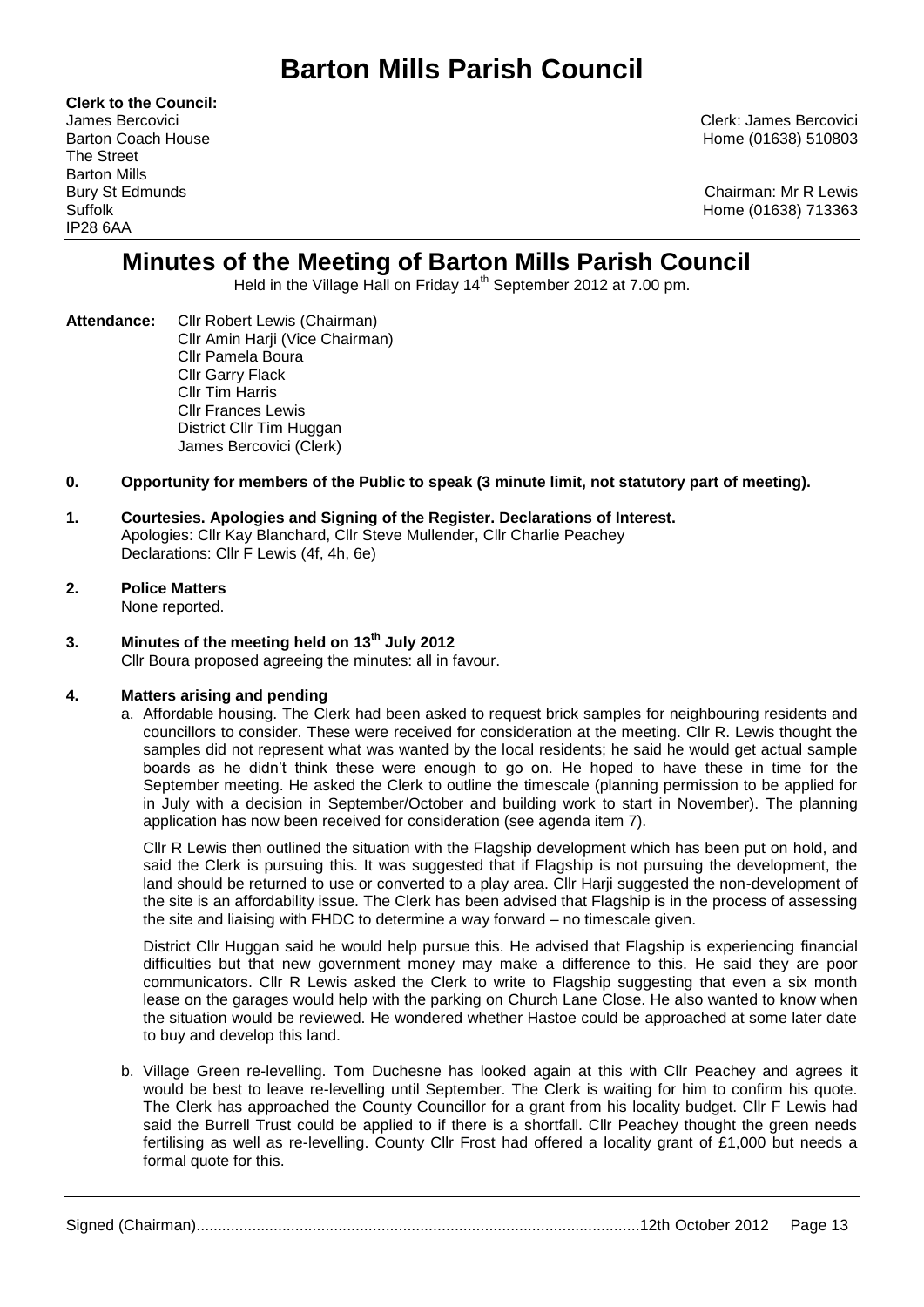# **Barton Mills Parish Council**

**Clerk to the Council:** The Street Barton Mills IP28 6AA

James Bercovici Clerk: James Bercovici Barton Coach House **Home (01638)** 510803

Bury St Edmunds Chairman: Mr R Lewis Suffolk Home (01638) 713363

## **Minutes of the Meeting of Barton Mills Parish Council**

Held in the Village Hall on Friday 14<sup>th</sup> September 2012 at 7.00 pm.

**Attendance:** Cllr Robert Lewis (Chairman) Cllr Amin Harji (Vice Chairman) Cllr Pamela Boura Cllr Garry Flack Cllr Tim Harris Cllr Frances Lewis District Cllr Tim Huggan James Bercovici (Clerk)

#### **0. Opportunity for members of the Public to speak (3 minute limit, not statutory part of meeting).**

#### **1. Courtesies. Apologies and Signing of the Register. Declarations of Interest.** Apologies: Cllr Kay Blanchard, Cllr Steve Mullender, Cllr Charlie Peachey Declarations: Cllr F Lewis (4f, 4h, 6e)

#### **2. Police Matters** None reported.

### **3. Minutes of the meeting held on 13th July 2012**

Cllr Boura proposed agreeing the minutes: all in favour.

#### **4. Matters arising and pending**

a. Affordable housing. The Clerk had been asked to request brick samples for neighbouring residents and councillors to consider. These were received for consideration at the meeting. Cllr R. Lewis thought the samples did not represent what was wanted by the local residents; he said he would get actual sample boards as he didn't think these were enough to go on. He hoped to have these in time for the September meeting. He asked the Clerk to outline the timescale (planning permission to be applied for in July with a decision in September/October and building work to start in November). The planning application has now been received for consideration (see agenda item 7).

Cllr R Lewis then outlined the situation with the Flagship development which has been put on hold, and said the Clerk is pursuing this. It was suggested that if Flagship is not pursuing the development, the land should be returned to use or converted to a play area. Cllr Harji suggested the non-development of the site is an affordability issue. The Clerk has been advised that Flagship is in the process of assessing the site and liaising with FHDC to determine a way forward – no timescale given.

District Cllr Huggan said he would help pursue this. He advised that Flagship is experiencing financial difficulties but that new government money may make a difference to this. He said they are poor communicators. Cllr R Lewis asked the Clerk to write to Flagship suggesting that even a six month lease on the garages would help with the parking on Church Lane Close. He also wanted to know when the situation would be reviewed. He wondered whether Hastoe could be approached at some later date to buy and develop this land.

b. Village Green re-levelling. Tom Duchesne has looked again at this with Cllr Peachey and agrees it would be best to leave re-levelling until September. The Clerk is waiting for him to confirm his quote. The Clerk has approached the County Councillor for a grant from his locality budget. Cllr F Lewis had said the Burrell Trust could be applied to if there is a shortfall. Cllr Peachey thought the green needs fertilising as well as re-levelling. County Cllr Frost had offered a locality grant of £1,000 but needs a formal quote for this.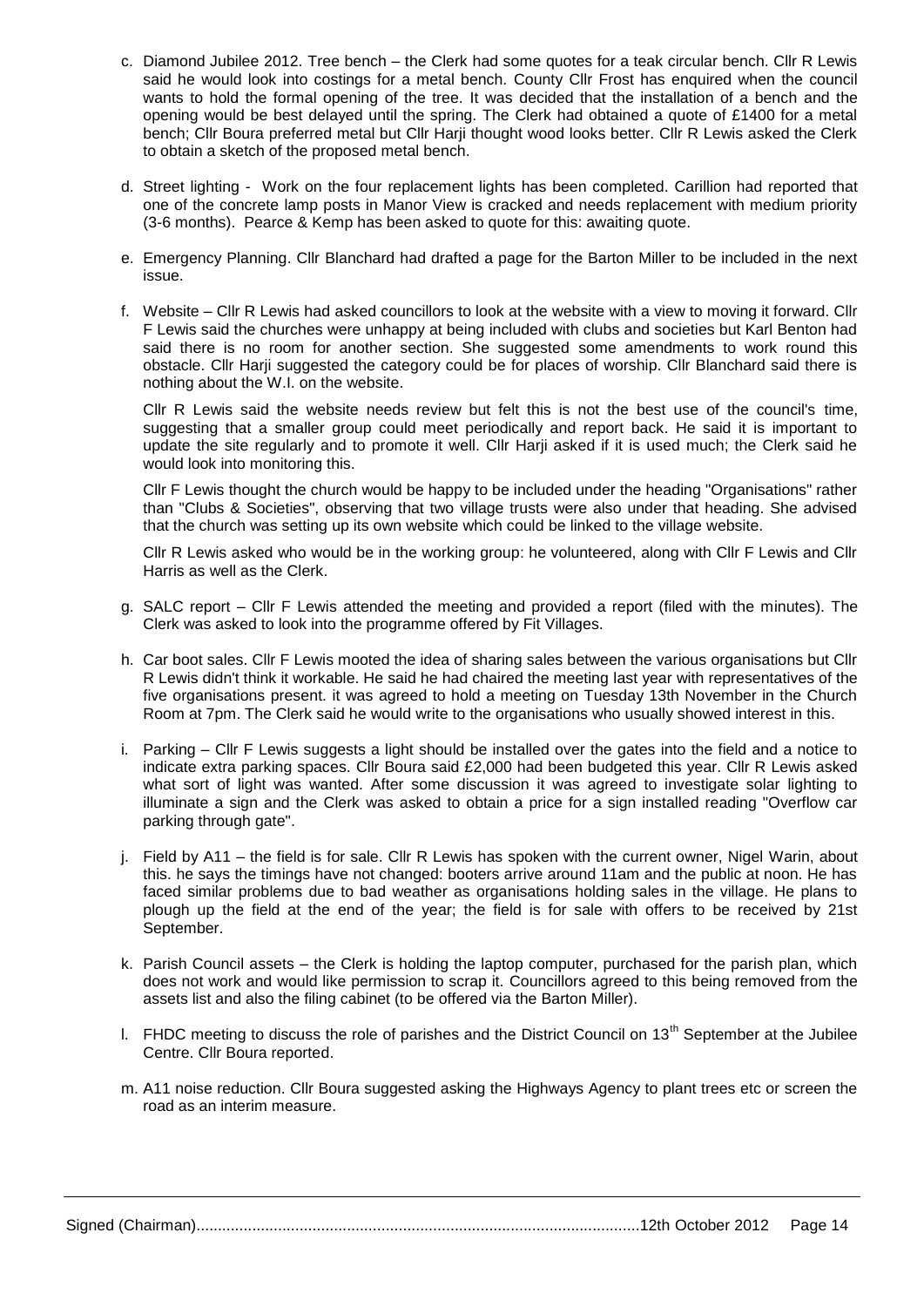- c. Diamond Jubilee 2012. Tree bench the Clerk had some quotes for a teak circular bench. Cllr R Lewis said he would look into costings for a metal bench. County Cllr Frost has enquired when the council wants to hold the formal opening of the tree. It was decided that the installation of a bench and the opening would be best delayed until the spring. The Clerk had obtained a quote of £1400 for a metal bench; Cllr Boura preferred metal but Cllr Harji thought wood looks better. Cllr R Lewis asked the Clerk to obtain a sketch of the proposed metal bench.
- d. Street lighting Work on the four replacement lights has been completed. Carillion had reported that one of the concrete lamp posts in Manor View is cracked and needs replacement with medium priority (3-6 months). Pearce & Kemp has been asked to quote for this: awaiting quote.
- e. Emergency Planning. Cllr Blanchard had drafted a page for the Barton Miller to be included in the next issue.
- f. Website Cllr R Lewis had asked councillors to look at the website with a view to moving it forward. Cllr F Lewis said the churches were unhappy at being included with clubs and societies but Karl Benton had said there is no room for another section. She suggested some amendments to work round this obstacle. Cllr Harji suggested the category could be for places of worship. Cllr Blanchard said there is nothing about the W.I. on the website.

Cllr R Lewis said the website needs review but felt this is not the best use of the council's time, suggesting that a smaller group could meet periodically and report back. He said it is important to update the site regularly and to promote it well. Cllr Harji asked if it is used much; the Clerk said he would look into monitoring this.

Cllr F Lewis thought the church would be happy to be included under the heading "Organisations" rather than "Clubs & Societies", observing that two village trusts were also under that heading. She advised that the church was setting up its own website which could be linked to the village website.

Cllr R Lewis asked who would be in the working group: he volunteered, along with Cllr F Lewis and Cllr Harris as well as the Clerk.

- g. SALC report Cllr F Lewis attended the meeting and provided a report (filed with the minutes). The Clerk was asked to look into the programme offered by Fit Villages.
- h. Car boot sales. Cllr F Lewis mooted the idea of sharing sales between the various organisations but Cllr R Lewis didn't think it workable. He said he had chaired the meeting last year with representatives of the five organisations present. it was agreed to hold a meeting on Tuesday 13th November in the Church Room at 7pm. The Clerk said he would write to the organisations who usually showed interest in this.
- i. Parking Cllr F Lewis suggests a light should be installed over the gates into the field and a notice to indicate extra parking spaces. Cllr Boura said £2,000 had been budgeted this year. Cllr R Lewis asked what sort of light was wanted. After some discussion it was agreed to investigate solar lighting to illuminate a sign and the Clerk was asked to obtain a price for a sign installed reading "Overflow car parking through gate".
- j. Field by A11 the field is for sale. Cllr R Lewis has spoken with the current owner, Nigel Warin, about this. he says the timings have not changed: booters arrive around 11am and the public at noon. He has faced similar problems due to bad weather as organisations holding sales in the village. He plans to plough up the field at the end of the year; the field is for sale with offers to be received by 21st September.
- k. Parish Council assets the Clerk is holding the laptop computer, purchased for the parish plan, which does not work and would like permission to scrap it. Councillors agreed to this being removed from the assets list and also the filing cabinet (to be offered via the Barton Miller).
- I. FHDC meeting to discuss the role of parishes and the District Council on  $13<sup>th</sup>$  September at the Jubilee Centre. Cllr Boura reported.
- m. A11 noise reduction. Cllr Boura suggested asking the Highways Agency to plant trees etc or screen the road as an interim measure.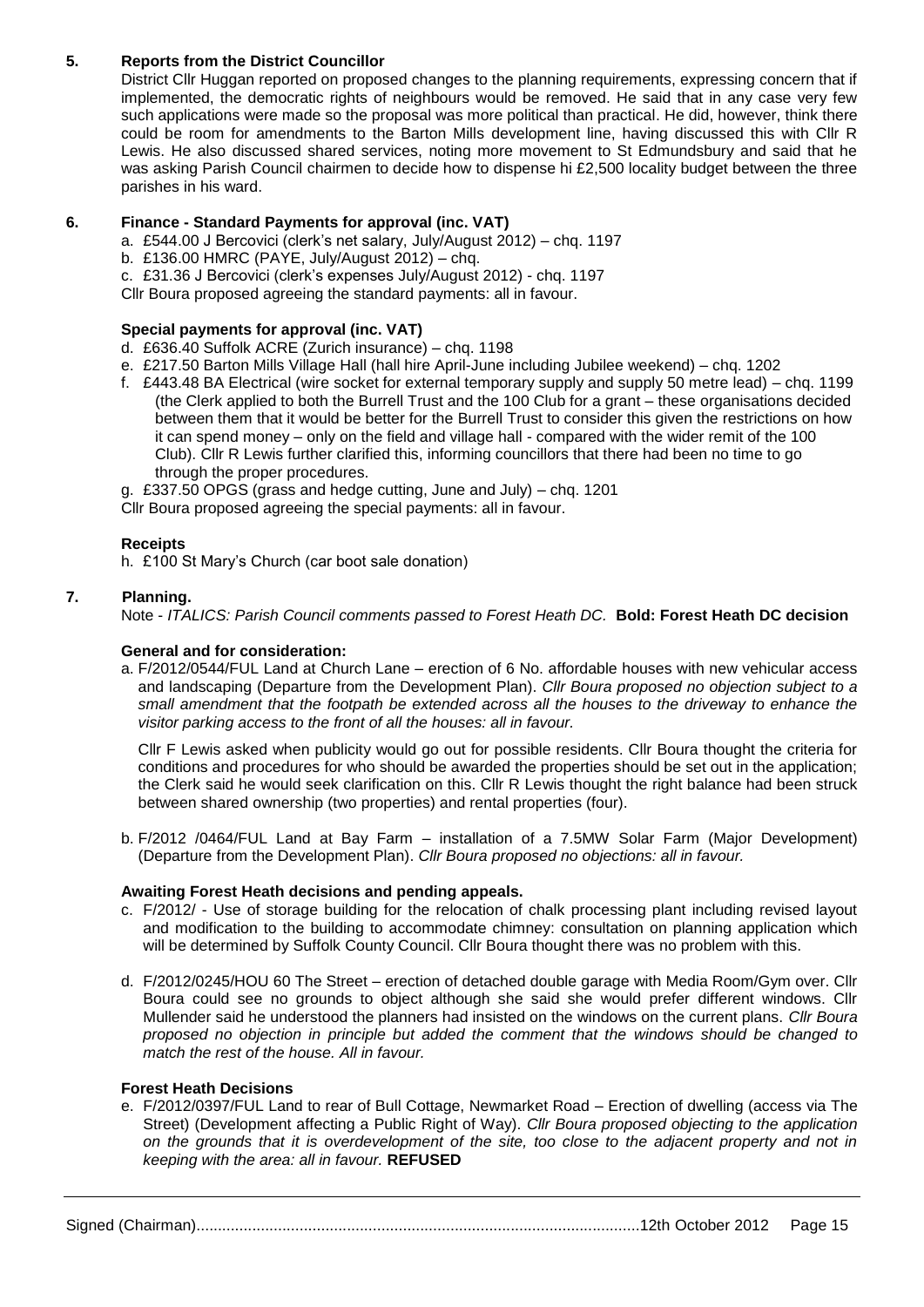#### **5. Reports from the District Councillor**

District Cllr Huggan reported on proposed changes to the planning requirements, expressing concern that if implemented, the democratic rights of neighbours would be removed. He said that in any case very few such applications were made so the proposal was more political than practical. He did, however, think there could be room for amendments to the Barton Mills development line, having discussed this with Cllr R Lewis. He also discussed shared services, noting more movement to St Edmundsbury and said that he was asking Parish Council chairmen to decide how to dispense hi £2,500 locality budget between the three parishes in his ward.

#### **6. Finance - Standard Payments for approval (inc. VAT)**

- a. £544.00 J Bercovici (clerk's net salary, July/August 2012) chq. 1197
- b. £136.00 HMRC (PAYE, July/August 2012) chq.
- c. £31.36 J Bercovici (clerk's expenses July/August 2012) chq. 1197

Cllr Boura proposed agreeing the standard payments: all in favour.

#### **Special payments for approval (inc. VAT)**

- d. £636.40 Suffolk ACRE (Zurich insurance) chq. 1198
- e. £217.50 Barton Mills Village Hall (hall hire April-June including Jubilee weekend) chq. 1202
- f. £443.48 BA Electrical (wire socket for external temporary supply and supply 50 metre lead) chq. 1199 (the Clerk applied to both the Burrell Trust and the 100 Club for a grant – these organisations decided between them that it would be better for the Burrell Trust to consider this given the restrictions on how it can spend money – only on the field and village hall - compared with the wider remit of the 100 Club). Cllr R Lewis further clarified this, informing councillors that there had been no time to go through the proper procedures.

g. £337.50 OPGS (grass and hedge cutting, June and July) – chq. 1201

Cllr Boura proposed agreeing the special payments: all in favour.

#### **Receipts**

h. £100 St Mary's Church (car boot sale donation)

#### **7. Planning.**

Note - *ITALICS: Parish Council comments passed to Forest Heath DC.* **Bold: Forest Heath DC decision**

#### **General and for consideration:**

a. F/2012/0544/FUL Land at Church Lane – erection of 6 No. affordable houses with new vehicular access and landscaping (Departure from the Development Plan). *Cllr Boura proposed no objection subject to a small amendment that the footpath be extended across all the houses to the driveway to enhance the visitor parking access to the front of all the houses: all in favour.*

Cllr F Lewis asked when publicity would go out for possible residents. Cllr Boura thought the criteria for conditions and procedures for who should be awarded the properties should be set out in the application; the Clerk said he would seek clarification on this. Cllr R Lewis thought the right balance had been struck between shared ownership (two properties) and rental properties (four).

b. F/2012 /0464/FUL Land at Bay Farm – installation of a 7.5MW Solar Farm (Major Development) (Departure from the Development Plan). *Cllr Boura proposed no objections: all in favour.*

#### **Awaiting Forest Heath decisions and pending appeals.**

- c. F/2012/ Use of storage building for the relocation of chalk processing plant including revised layout and modification to the building to accommodate chimney: consultation on planning application which will be determined by Suffolk County Council. Cllr Boura thought there was no problem with this.
- d. F/2012/0245/HOU 60 The Street erection of detached double garage with Media Room/Gym over. Cllr Boura could see no grounds to object although she said she would prefer different windows. Cllr Mullender said he understood the planners had insisted on the windows on the current plans. *Cllr Boura proposed no objection in principle but added the comment that the windows should be changed to match the rest of the house. All in favour.*

#### **Forest Heath Decisions**

e. F/2012/0397/FUL Land to rear of Bull Cottage, Newmarket Road – Erection of dwelling (access via The Street) (Development affecting a Public Right of Way). *Cllr Boura proposed objecting to the application on the grounds that it is overdevelopment of the site, too close to the adjacent property and not in keeping with the area: all in favour.* **REFUSED**